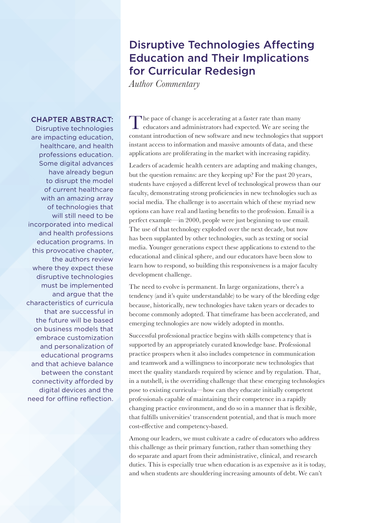## Disruptive Technologies Affecting Education and Their Implications for Curricular Redesign

*Author Commentary*

## CHAPTER ABSTRACT:

Disruptive technologies are impacting education, healthcare, and health professions education. Some digital advances have already begun to disrupt the model of current healthcare with an amazing array of technologies that will still need to be incorporated into medical and health professions education programs. In this provocative chapter, the authors review where they expect these disruptive technologies must be implemented and argue that the characteristics of curricula that are successful in the future will be based on business models that embrace customization and personalization of educational programs and that achieve balance between the constant connectivity afforded by digital devices and the need for offline reflection.

The pace of change is accelerating at a faster rate than many educators and administrators had expected. We are seeing the constant introduction of new software and new technologies that support instant access to information and massive amounts of data, and these applications are proliferating in the market with increasing rapidity.

Leaders of academic health centers are adapting and making changes, but the question remains: are they keeping up? For the past 20 years, students have enjoyed a different level of technological prowess than our faculty, demonstrating strong proficiencies in new technologies such as social media. The challenge is to ascertain which of these myriad new options can have real and lasting benefits to the profession. Email is a perfect example—in 2000, people were just beginning to use email. The use of that technology exploded over the next decade, but now has been supplanted by other technologies, such as texting or social media. Younger generations expect these applications to extend to the educational and clinical sphere, and our educators have been slow to learn how to respond, so building this responsiveness is a major faculty development challenge.

The need to evolve is permanent. In large organizations, there's a tendency (and it's quite understandable) to be wary of the bleeding edge because, historically, new technologies have taken years or decades to become commonly adopted. That timeframe has been accelerated, and emerging technologies are now widely adopted in months.

Successful professional practice begins with skills competency that is supported by an appropriately curated knowledge base. Professional practice prospers when it also includes competence in communication and teamwork and a willingness to incorporate new technologies that meet the quality standards required by science and by regulation. That, in a nutshell, is the overriding challenge that these emerging technologies pose to existing curricula—how can they educate initially competent professionals capable of maintaining their competence in a rapidly changing practice environment, and do so in a manner that is flexible, that fulfills universities' transcendent potential, and that is much more cost-effective and competency-based.

Among our leaders, we must cultivate a cadre of educators who address this challenge as their primary function, rather than something they do separate and apart from their administrative, clinical, and research duties. This is especially true when education is as expensive as it is today, and when students are shouldering increasing amounts of debt. We can't